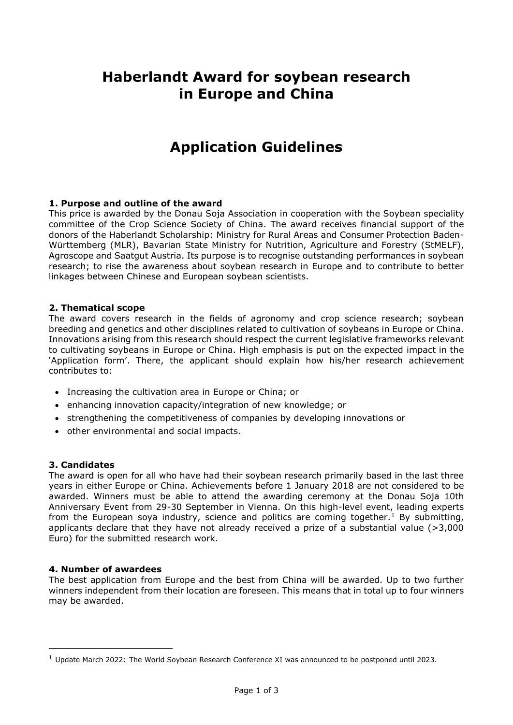# **Haberlandt Award for soybean research in Europe and China**

# **Application Guidelines**

### **1. Purpose and outline of the award**

This price is awarded by the Donau Soja Association in cooperation with the Soybean speciality committee of the Crop Science Society of China. The award receives financial support of the donors of the Haberlandt Scholarship: Ministry for Rural Areas and Consumer Protection Baden-Württemberg (MLR), Bavarian State Ministry for Nutrition, Agriculture and Forestry (StMELF), Agroscope and Saatgut Austria. Its purpose is to recognise outstanding performances in soybean research; to rise the awareness about soybean research in Europe and to contribute to better linkages between Chinese and European soybean scientists.

### **2. Thematical scope**

The award covers research in the fields of agronomy and crop science research; soybean breeding and genetics and other disciplines related to cultivation of soybeans in Europe or China. Innovations arising from this research should respect the current legislative frameworks relevant to cultivating soybeans in Europe or China. High emphasis is put on the expected impact in the 'Application form'. There, the applicant should explain how his/her research achievement contributes to:

- Increasing the cultivation area in Europe or China; or
- enhancing innovation capacity/integration of new knowledge; or
- strengthening the competitiveness of companies by developing innovations or
- other environmental and social impacts.

### **3. Candidates**

The award is open for all who have had their soybean research primarily based in the last three years in either Europe or China. Achievements before 1 January 2018 are not considered to be awarded. Winners must be able to attend the awarding ceremony at the Donau Soja 10th Anniversary Event from 29-30 September in Vienna. On this high-level event, leading experts from the European soya industry, science and politics are coming together.<sup>1</sup> By submitting, applicants declare that they have not already received a prize of a substantial value (>3,000 Euro) for the submitted research work.

### **4. Number of awardees**

The best application from Europe and the best from China will be awarded. Up to two further winners independent from their location are foreseen. This means that in total up to four winners may be awarded.

<sup>1</sup> Update March 2022: The World Soybean Research Conference XI was announced to be postponed until 2023.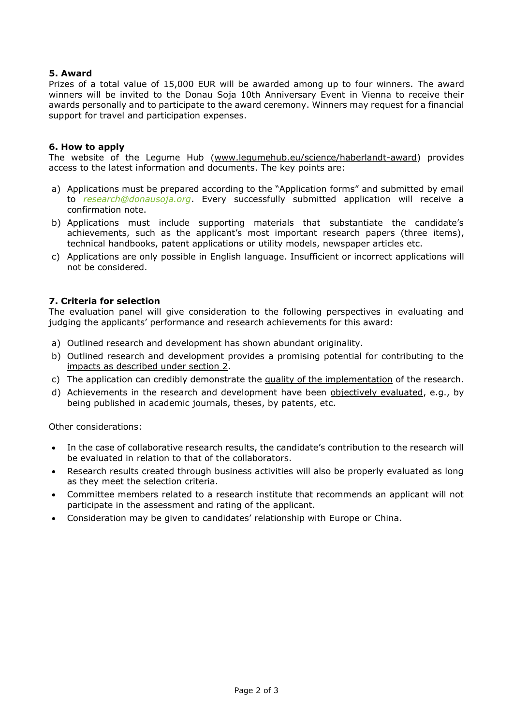## **5. Award**

Prizes of a total value of 15,000 EUR will be awarded among up to four winners. The award winners will be invited to the Donau Soja 10th Anniversary Event in Vienna to receive their awards personally and to participate to the award ceremony. Winners may request for a financial support for travel and participation expenses.

#### **6. How to apply**

The website of the Legume Hub (www.legumehub.eu/science/haberlandt-award) provides access to the latest information and documents. The key points are:

- a) Applications must be prepared according to the "Application forms" and submitted by email to *research@donausoja.org*. Every successfully submitted application will receive a confirmation note.
- b) Applications must include supporting materials that substantiate the candidate's achievements, such as the applicant's most important research papers (three items), technical handbooks, patent applications or utility models, newspaper articles etc.
- c) Applications are only possible in English language. Insufficient or incorrect applications will not be considered.

#### **7. Criteria for selection**

The evaluation panel will give consideration to the following perspectives in evaluating and judging the applicants' performance and research achievements for this award:

- a) Outlined research and development has shown abundant originality.
- b) Outlined research and development provides a promising potential for contributing to the impacts as described under section 2.
- c) The application can credibly demonstrate the quality of the implementation of the research.
- d) Achievements in the research and development have been objectively evaluated, e.g., by being published in academic journals, theses, by patents, etc.

Other considerations:

- In the case of collaborative research results, the candidate's contribution to the research will be evaluated in relation to that of the collaborators.
- Research results created through business activities will also be properly evaluated as long as they meet the selection criteria.
- Committee members related to a research institute that recommends an applicant will not participate in the assessment and rating of the applicant.
- Consideration may be given to candidates' relationship with Europe or China.